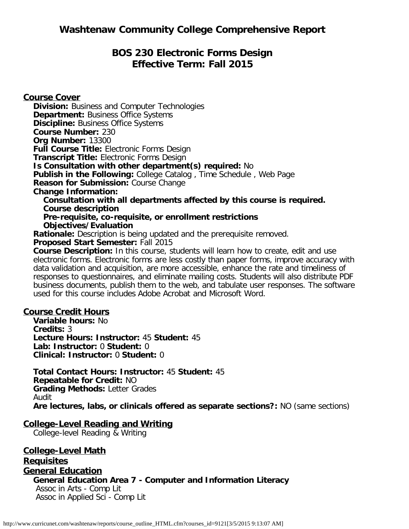# **BOS 230 Electronic Forms Design Effective Term: Fall 2015**

**Course Cover Division:** Business and Computer Technologies **Department: Business Office Systems Discipline: Business Office Systems Course Number:** 230 **Org Number:** 13300 **Full Course Title:** Electronic Forms Design **Transcript Title:** Electronic Forms Design **Is Consultation with other department(s) required:** No **Publish in the Following:** College Catalog , Time Schedule , Web Page **Reason for Submission:** Course Change **Change Information: Consultation with all departments affected by this course is required. Course description Pre-requisite, co-requisite, or enrollment restrictions Objectives/Evaluation Rationale:** Description is being updated and the prerequisite removed. **Proposed Start Semester:** Fall 2015 **Course Description:** In this course, students will learn how to create, edit and use electronic forms. Electronic forms are less costly than paper forms, improve accuracy with data validation and acquisition, are more accessible, enhance the rate and timeliness of

responses to questionnaires, and eliminate mailing costs. Students will also distribute PDF business documents, publish them to the web, and tabulate user responses. The software used for this course includes Adobe Acrobat and Microsoft Word.

## **Course Credit Hours**

**Variable hours:** No **Credits:** 3 **Lecture Hours: Instructor:** 45 **Student:** 45 **Lab: Instructor:** 0 **Student:** 0 **Clinical: Instructor:** 0 **Student:** 0

**Total Contact Hours: Instructor:** 45 **Student:** 45 **Repeatable for Credit:** NO **Grading Methods:** Letter Grades Audit **Are lectures, labs, or clinicals offered as separate sections?:** NO (same sections)

#### **College-Level Reading and Writing**

College-level Reading & Writing

**College-Level Math Requisites General Education General Education Area 7 - Computer and Information Literacy** Assoc in Arts - Comp Lit Assoc in Applied Sci - Comp Lit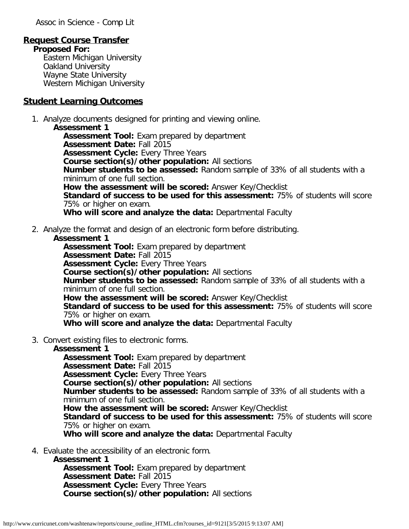Assoc in Science - Comp Lit

## **Request Course Transfer**

**Proposed For:** Eastern Michigan University

Oakland University Wayne State University Western Michigan University

### **Student Learning Outcomes**

1. Analyze documents designed for printing and viewing online.

**Assessment 1 Assessment Tool:** Exam prepared by department **Assessment Date:** Fall 2015 **Assessment Cycle:** Every Three Years **Course section(s)/other population:** All sections **Number students to be assessed:** Random sample of 33% of all students with a minimum of one full section. **How the assessment will be scored:** Answer Key/Checklist **Standard of success to be used for this assessment:** 75% of students will score 75% or higher on exam. **Who will score and analyze the data:** Departmental Faculty

2. Analyze the format and design of an electronic form before distributing.

#### **Assessment 1**

**Assessment Tool:** Exam prepared by department **Assessment Date:** Fall 2015 **Assessment Cycle:** Every Three Years **Course section(s)/other population:** All sections **Number students to be assessed:** Random sample of 33% of all students with a minimum of one full section. **How the assessment will be scored:** Answer Key/Checklist **Standard of success to be used for this assessment:** 75% of students will score 75% or higher on exam. **Who will score and analyze the data:** Departmental Faculty

3. Convert existing files to electronic forms.

#### **Assessment 1**

**Assessment Tool:** Exam prepared by department

**Assessment Date:** Fall 2015

**Assessment Cycle:** Every Three Years

**Course section(s)/other population:** All sections

**Number students to be assessed:** Random sample of 33% of all students with a minimum of one full section.

**How the assessment will be scored:** Answer Key/Checklist

**Standard of success to be used for this assessment:** 75% of students will score 75% or higher on exam.

**Who will score and analyze the data:** Departmental Faculty

4. Evaluate the accessibility of an electronic form.

**Assessment 1**

**Assessment Tool:** Exam prepared by department **Assessment Date:** Fall 2015 **Assessment Cycle: Every Three Years Course section(s)/other population:** All sections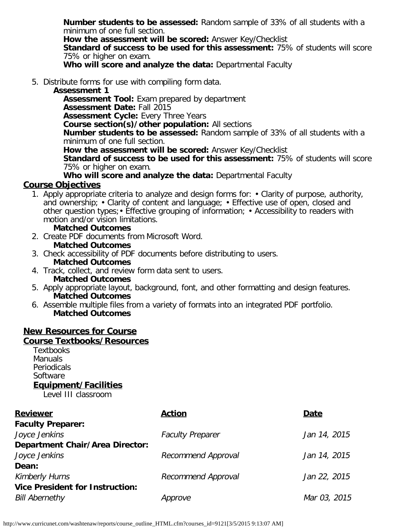**Number students to be assessed:** Random sample of 33% of all students with a minimum of one full section.

**How the assessment will be scored:** Answer Key/Checklist

**Standard of success to be used for this assessment:** 75% of students will score 75% or higher on exam.

**Who will score and analyze the data:** Departmental Faculty

5. Distribute forms for use with compiling form data.

## **Assessment 1**

**Assessment Tool:** Exam prepared by department **Assessment Date:** Fall 2015 **Assessment Cycle: Every Three Years Course section(s)/other population:** All sections **Number students to be assessed:** Random sample of 33% of all students with a minimum of one full section. **How the assessment will be scored:** Answer Key/Checklist

**Standard of success to be used for this assessment:** 75% of students will score 75% or higher on exam.

**Who will score and analyze the data:** Departmental Faculty

## **Course Objectives**

1. Apply appropriate criteria to analyze and design forms for: • Clarity of purpose, authority, and ownership; • Clarity of content and language; • Effective use of open, closed and other question types;• Effective grouping of information; • Accessibility to readers with motion and/or vision limitations.

### **Matched Outcomes**

- 2. Create PDF documents from Microsoft Word. **Matched Outcomes**
- 3. Check accessibility of PDF documents before distributing to users. **Matched Outcomes**
- 4. Track, collect, and review form data sent to users. **Matched Outcomes**
- 5. Apply appropriate layout, background, font, and other formatting and design features. **Matched Outcomes**
- 6. Assemble multiple files from a variety of formats into an integrated PDF portfolio. **Matched Outcomes**

## **New Resources for Course**

#### **Course Textbooks/Resources**

**Textbooks Manuals** Periodicals Software **Equipment/Facilities**

Level III classroom

| <b>Reviewer</b>                        | <b>Action</b>           | Date         |
|----------------------------------------|-------------------------|--------------|
| <b>Faculty Preparer:</b>               |                         |              |
| Joyce Jenkins                          | <b>Faculty Preparer</b> | Jan 14, 2015 |
| <b>Department Chair/Area Director:</b> |                         |              |
| Joyce Jenkins                          | Recommend Approval      | Jan 14, 2015 |
| Dean:                                  |                         |              |
| <b>Kimberly Hurns</b>                  | Recommend Approval      | Jan 22, 2015 |
| <b>Vice President for Instruction:</b> |                         |              |
| <b>Bill Abernethy</b>                  | Approve                 | Mar 03, 2015 |